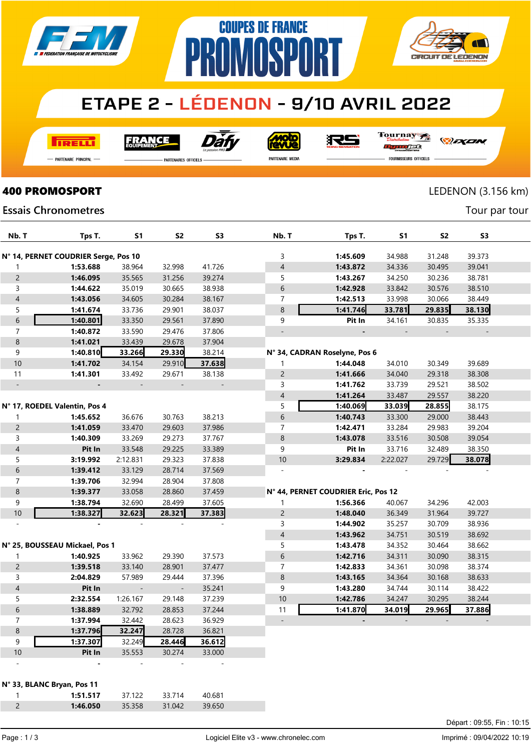

# **ETAPE 2 - LÉDENON - 9/10 AVRIL 2022**

**COUPES DE FRANCE** 

**AMASPA** 

**TRELL** 

**FRANCE** 



**Moto**<br>AVUe

Tournay 7

*DEXEN* 

- Partenaire Principal

**PARTENAIRES OFFICIELS** 

PARTENAIRE MEDIA

RS

R

JEG

**CIRCUIT DE LEDENON** 

PR

**FOURNISSEURS OFFICIELS** 

LEDENON (3.156 km)

Tour par tour

**AVI** 

#### **Essais Chronometres**

**400 PROMOSPORT** 

| Nb. T            | Tps T.                               | S <sub>1</sub>           | <b>S2</b>      | S <sub>3</sub> | Nb. T                    | Tps T.                              | S <sub>1</sub> | <b>S2</b> | S <sub>3</sub> |  |
|------------------|--------------------------------------|--------------------------|----------------|----------------|--------------------------|-------------------------------------|----------------|-----------|----------------|--|
|                  | N° 14, PERNET COUDRIER Serge, Pos 10 |                          |                |                | 3                        | 1:45.609                            | 34.988         | 31.248    | 39.373         |  |
| $\mathbf{1}$     | 1:53.688                             | 38.964                   | 32.998         | 41.726         | $\overline{\mathcal{L}}$ | 1:43.872                            | 34.336         | 30.495    | 39.041         |  |
| $\overline{c}$   | 1:46.095                             | 35.565                   | 31.256         | 39.274         | 5                        | 1:43.267                            | 34.250         | 30.236    | 38.781         |  |
| 3                | 1:44.622                             | 35.019                   | 30.665         | 38.938         | 6                        | 1:42.928                            | 33.842         | 30.576    | 38.510         |  |
| $\overline{4}$   | 1:43.056                             | 34.605                   | 30.284         | 38.167         | $\overline{7}$           | 1:42.513                            | 33.998         | 30.066    | 38.449         |  |
| 5                | 1:41.674                             | 33.736                   | 29.901         | 38.037         | 8                        | 1:41.746                            | 33.781         | 29.835    | 38.130         |  |
| 6                | 1:40.801                             | 33.350                   | 29.561         | 37.890         | 9                        | Pit In                              | 34.161         | 30.835    | 35.335         |  |
| $\overline{7}$   | 1:40.872                             | 33.590                   | 29.476         | 37.806         | $\overline{\phantom{a}}$ |                                     |                |           |                |  |
| $\,8\,$          | 1:41.021                             | 33.439                   | 29.678         | 37.904         |                          |                                     |                |           |                |  |
| 9                | 1:40.810                             | 33.266                   | 29.330         | 38.214         |                          | N° 34, CADRAN Roselyne, Pos 6       |                |           |                |  |
| 10               | 1:41.702                             | 34.154                   | 29.910         | 37.638         | $\mathbf{1}$             | 1:44.048                            | 34.010         | 30.349    | 39.689         |  |
| 11               | 1:41.301                             | 33.492                   | 29.671         | 38.138         | $\overline{c}$           | 1:41.666                            | 34.040         | 29.318    | 38.308         |  |
| $\equiv$         |                                      |                          |                | $\blacksquare$ | 3                        | 1:41.762                            | 33.739         | 29.521    | 38.502         |  |
|                  |                                      |                          |                |                | $\overline{\mathcal{L}}$ | 1:41.264                            | 33.487         | 29.557    | 38.220         |  |
|                  | N° 17, ROEDEL Valentin, Pos 4        |                          |                |                | 5                        | 1:40.069                            | 33.039         | 28.855    | 38.175         |  |
| $\mathbf{1}$     | 1:45.652                             | 36.676                   | 30.763         | 38.213         | 6                        | 1:40.743                            | 33.300         | 29.000    | 38.443         |  |
| $\overline{c}$   | 1:41.059                             | 33.470                   | 29.603         | 37.986         | $\overline{7}$           | 1:42.471                            | 33.284         | 29.983    | 39.204         |  |
| $\mathsf{3}$     | 1:40.309                             | 33.269                   | 29.273         | 37.767         | $\,8\,$                  | 1:43.078                            | 33.516         | 30.508    | 39.054         |  |
| $\sqrt{4}$       | Pit In                               | 33.548                   | 29.225         | 33.389         | 9                        | Pit In                              | 33.716         | 32.489    | 38.350         |  |
| 5                | 3:19.992                             | 2:12.831                 | 29.323         | 37.838         | 10                       | 3:29.834                            | 2:22.027       | 29.729    | 38.078         |  |
| 6                | 1:39.412                             | 33.129                   | 28.714         | 37.569         | $\overline{\phantom{a}}$ |                                     |                |           |                |  |
| $\boldsymbol{7}$ | 1:39.706                             | 32.994                   | 28.904         | 37.808         |                          |                                     |                |           |                |  |
| $\,8\,$          | 1:39.377                             | 33.058                   | 28.860         | 37.459         |                          | N° 44, PERNET COUDRIER Eric, Pos 12 |                |           |                |  |
| 9                | 1:38.794                             | 32.690                   | 28.499         | 37.605         | 1                        | 1:56.366                            | 40.067         | 34.296    | 42.003         |  |
| 10               | 1:38.327                             | 32.623                   | 28.321         | 37.383         | $\overline{c}$           | 1:48.040                            | 36.349         | 31.964    | 39.727         |  |
| $\sim$           |                                      |                          |                |                | 3                        | 1:44.902                            | 35.257         | 30.709    | 38.936         |  |
|                  |                                      |                          |                |                | $\overline{4}$           | 1:43.962                            | 34.751         | 30.519    | 38.692         |  |
|                  | N° 25, BOUSSEAU Mickael, Pos 1       |                          |                |                | 5                        | 1:43.478                            | 34.352         | 30.464    | 38.662         |  |
| $\mathbf{1}$     | 1:40.925                             | 33.962                   | 29.390         | 37.573         | 6                        | 1:42.716                            | 34.311         | 30.090    | 38.315         |  |
| $\overline{c}$   | 1:39.518                             | 33.140                   | 28.901         | 37.477         | 7                        | 1:42.833                            | 34.361         | 30.098    | 38.374         |  |
| $\mathsf{3}$     | 2:04.829                             | 57.989                   | 29.444         | 37.396         | 8                        | 1:43.165                            | 34.364         | 30.168    | 38.633         |  |
| $\sqrt{4}$       | Pit In                               | $\overline{\phantom{a}}$ | $\blacksquare$ | 35.241         | 9                        | 1:43.280                            | 34.744         | 30.114    | 38.422         |  |
| 5                | 2:32.554                             | 1:26.167                 | 29.148         | 37.239         | 10                       | 1:42.786                            | 34.247         | 30.295    | 38.244         |  |
| $\sqrt{6}$       | 1:38.889                             | 32.792                   | 28.853         | 37.244         | 11                       | 1:41.870                            | 34.019         | 29.965    | 37.886         |  |
| $\overline{7}$   | 1:37.994                             | 32.442                   | 28.623         | 36.929         | $\overline{\phantom{a}}$ |                                     |                |           |                |  |
| $\,8\,$          | 1:37.796                             | 32.247                   | 28.728         | 36.821         |                          |                                     |                |           |                |  |
| 9                | 1:37.307                             | 32.249                   | 28.446         | 36.612         |                          |                                     |                |           |                |  |
| 10               | Pit In                               | 35.553                   | 30.274         | 33.000         |                          |                                     |                |           |                |  |
|                  |                                      |                          |                |                |                          |                                     |                |           |                |  |

| N° 33, BLANC Bryan, Pos 11 |          |        |        |        |  |  |  |  |  |
|----------------------------|----------|--------|--------|--------|--|--|--|--|--|
|                            | 1:51.517 | 37.122 | 33.714 | 40.681 |  |  |  |  |  |
|                            | 1:46.050 | 35.358 | 31 042 | 39.650 |  |  |  |  |  |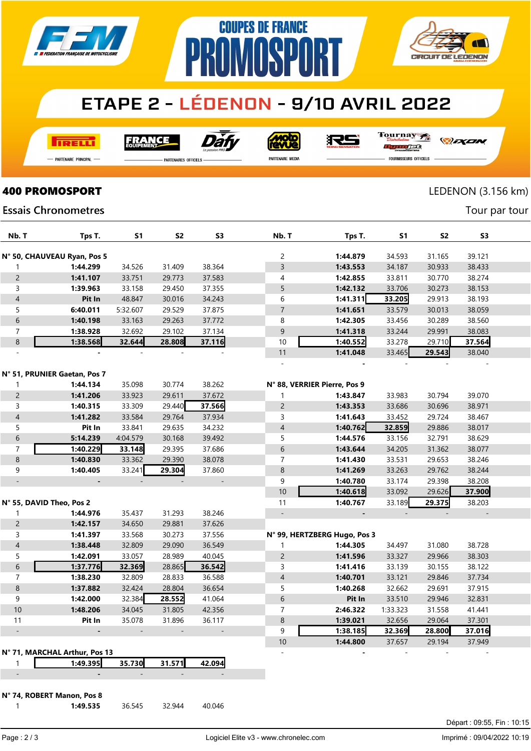

# **ETAPE 2 - LÉDENON - 9/10 AVRIL 2022**

**COUPES DE FRANCE** 

**IMNSP** 

**TRELLI** 

**FRANCE** 



<u>Molo</u><br>BUVS

Tournay

RS

*DEXEN* 

**CIRCUIT DE LEDENON** 

- PARTENAIRE PRINCIPAL

**PARTENAIRES OFFICIELS** 

PR

PARTENAIRE MEDIA

orse **FOURNISSEURS OFFICIELS** 

Tour par tour

### **400 PROMOSPORT** LEDENON (3.156 km)

#### **Essais Chronometres**

| Nb. T                    | Tps T.                        | S1       | S <sub>2</sub> | S <sub>3</sub> | Nb. T                        | Tps T.                       | S1       | S <sub>2</sub> | S <sub>3</sub> |  |
|--------------------------|-------------------------------|----------|----------------|----------------|------------------------------|------------------------------|----------|----------------|----------------|--|
|                          |                               |          |                |                |                              |                              |          |                |                |  |
|                          | N° 50, CHAUVEAU Ryan, Pos 5   |          |                |                | 2                            | 1:44.879                     | 34.593   | 31.165         | 39.121         |  |
| 1                        | 1:44.299                      | 34.526   | 31.409         | 38.364         | 3                            | 1:43.553                     | 34.187   | 30.933         | 38.433         |  |
| $\overline{c}$           | 1:41.107                      | 33.751   | 29.773         | 37.583         | $\overline{4}$               | 1:42.855                     | 33.811   | 30.770         | 38.274         |  |
| 3                        | 1:39.963                      | 33.158   | 29.450         | 37.355         | 5                            | 1:42.132                     | 33.706   | 30.273         | 38.153         |  |
| $\overline{4}$           | Pit In                        | 48.847   | 30.016         | 34.243         | 6                            | 1:41.311                     | 33.205   | 29.913         | 38.193         |  |
| 5                        | 6:40.011                      | 5:32.607 | 29.529         | 37.875         | $\overline{7}$               | 1:41.651                     | 33.579   | 30.013         | 38.059         |  |
| $\,$ 6 $\,$              | 1:40.198                      | 33.163   | 29.263         | 37.772         | 8                            | 1:42.305                     | 33.456   | 30.289         | 38.560         |  |
| $\overline{7}$           | 1:38.928                      | 32.692   | 29.102         | 37.134         | 9                            | 1:41.318                     | 33.244   | 29.991         | 38.083         |  |
| $\,8\,$                  | 1:38.568                      | 32.644   | 28.808         | 37.116         | 10                           | 1:40.552                     | 33.278   | 29.710         | 37.564         |  |
|                          |                               |          |                |                | 11                           | 1:41.048                     | 33.465   | 29.543         | 38.040         |  |
|                          |                               |          |                |                | $\overline{a}$               |                              |          |                |                |  |
|                          | N° 51, PRUNIER Gaetan, Pos 7  |          |                |                |                              |                              |          |                |                |  |
| 1                        | 1:44.134                      | 35.098   | 30.774         | 38.262         | N° 88, VERRIER Pierre, Pos 9 |                              |          |                |                |  |
| $\overline{2}$           | 1:41.206                      | 33.923   | 29.611         | 37.672         | 1                            | 1:43.847                     | 33.983   | 30.794         | 39.070         |  |
| 3                        | 1:40.315                      | 33.309   | 29.440         | 37.566         | $\overline{c}$               | 1:43.353                     | 33.686   | 30.696         | 38.971         |  |
| $\overline{4}$           | 1:41.282                      | 33.584   | 29.764         | 37.934         | 3                            | 1:41.643                     | 33.452   | 29.724         | 38.467         |  |
| 5                        | Pit In                        | 33.841   | 29.635         | 34.232         | $\sqrt{4}$                   | 1:40.762                     | 32.859   | 29.886         | 38.017         |  |
| 6                        | 5:14.239                      | 4:04.579 | 30.168         | 39.492         | 5                            | 1:44.576                     | 33.156   | 32.791         | 38.629         |  |
| $\overline{7}$           | 1:40.229                      | 33.148   | 29.395         | 37.686         | 6                            | 1:43.644                     | 34.205   | 31.362         | 38.077         |  |
| $\,8\,$                  | 1:40.830                      | 33.362   | 29.390         | 38.078         | $\overline{7}$               | 1:41.430                     | 33.531   | 29.653         | 38.246         |  |
| 9                        | 1:40.405                      | 33.241   | 29.304         | 37.860         | 8                            | 1:41.269                     | 33.263   | 29.762         | 38.244         |  |
|                          |                               |          |                |                | 9                            | 1:40.780                     | 33.174   | 29.398         | 38.208         |  |
|                          |                               |          |                |                | 10                           | 1:40.618                     | 33.092   | 29.626         | 37.900         |  |
| N° 55, DAVID Theo, Pos 2 |                               |          |                |                | 11                           | 1:40.767                     | 33.189   | 29.375         | 38.203         |  |
| $\mathbf{1}$             | 1:44.976                      | 35.437   | 31.293         | 38.246         | $\overline{\phantom{a}}$     | $\qquad \qquad \blacksquare$ |          |                |                |  |
| $\overline{2}$           | 1:42.157                      | 34.650   | 29.881         | 37.626         |                              |                              |          |                |                |  |
| 3                        | 1:41.397                      | 33.568   | 30.273         | 37.556         |                              | N° 99, HERTZBERG Hugo, Pos 3 |          |                |                |  |
| $\overline{4}$           | 1:38.448                      | 32.809   | 29.090         | 36.549         | 1                            | 1:44.305                     | 34.497   | 31.080         | 38.728         |  |
| 5                        | 1:42.091                      | 33.057   | 28.989         | 40.045         | $\overline{c}$               | 1:41.596                     | 33.327   | 29.966         | 38.303         |  |
| 6                        | 1:37.776                      | 32.369   | 28.865         | 36.542         | 3                            | 1:41.416                     | 33.139   | 30.155         | 38.122         |  |
| $\overline{7}$           | 1:38.230                      | 32.809   | 28.833         | 36.588         | $\overline{4}$               | 1:40.701                     | 33.121   | 29.846         | 37.734         |  |
| 8                        | 1:37.882                      | 32.424   | 28.804         | 36.654         | 5                            | 1:40.268                     | 32.662   | 29.691         | 37.915         |  |
| 9                        | 1:42.000                      | 32.384   | 28.552         | 41.064         | 6                            | Pit In                       | 33.510   | 29.946         | 32.831         |  |
| 10                       | 1:48.206                      | 34.045   | 31.805         | 42.356         | $\overline{7}$               | 2:46.322                     | 1:33.323 | 31.558         | 41.441         |  |
| 11                       | Pit In                        | 35.078   | 31.896         | 36.117         | $\,8\,$                      | 1:39.021                     | 32.656   | 29.064         | 37.301         |  |
|                          |                               |          |                |                | 9                            | 1:38.185                     | 32.369   | 28.800         | 37.016         |  |
|                          |                               |          |                |                | 10                           | 1:44.800                     | 37.657   | 29.194         | 37.949         |  |
|                          | N° 71, MARCHAL Arthur, Pos 13 |          |                |                | $\overline{a}$               |                              |          |                |                |  |
| 1                        | 1:49.395                      | 35.730   | 31.571         | 42.094         |                              |                              |          |                |                |  |
|                          | $\qquad \qquad \blacksquare$  |          |                |                |                              |                              |          |                |                |  |

N° 74, ROBERT Manon, Pos 8

**1:49.535** 36.545 32.944 40.046

Départ : 09:55, Fin : 10:15